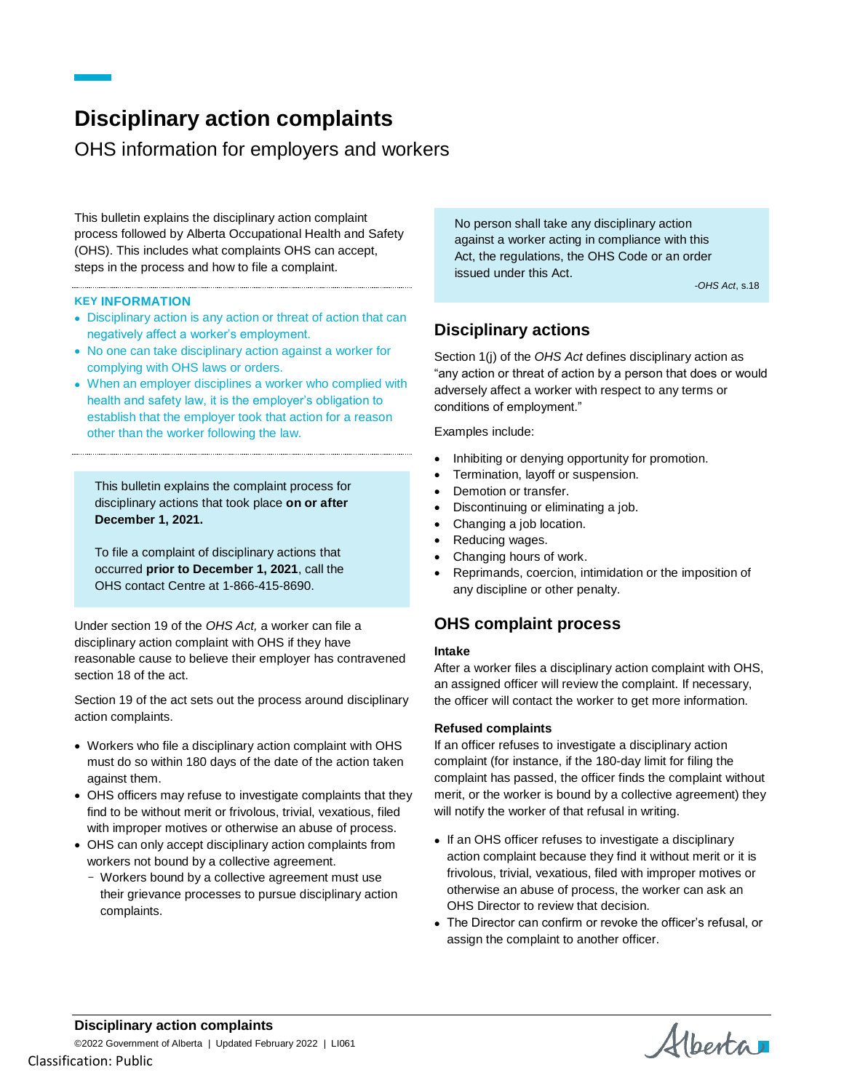# **Disciplinary action complaints**

OHS information for employers and workers

This bulletin explains the disciplinary action complaint process followed by Alberta Occupational Health and Safety (OHS). This includes what complaints OHS can accept, steps in the process and how to file a complaint.

#### **KEY INFORMATION**

- Disciplinary action is any action or threat of action that can negatively affect a worker's employment.
- No one can take disciplinary action against a worker for complying with OHS laws or orders.
- When an employer disciplines a worker who complied with health and safety law, it is the employer's obligation to establish that the employer took that action for a reason other than the worker following the law.

This bulletin explains the complaint process for disciplinary actions that took place **on or after December 1, 2021.**

To file a complaint of disciplinary actions that occurred **prior to December 1, 2021**, call the OHS contact Centre at 1-866-415-8690.

Under section 19 of the *OHS Act,* a worker can file a disciplinary action complaint with OHS if they have reasonable cause to believe their employer has contravened section 18 of the act.

Section 19 of the act sets out the process around disciplinary action complaints.

- Workers who file a disciplinary action complaint with OHS must do so within 180 days of the date of the action taken against them.
- OHS officers may refuse to investigate complaints that they find to be without merit or frivolous, trivial, vexatious, filed with improper motives or otherwise an abuse of process.
- OHS can only accept disciplinary action complaints from workers not bound by a collective agreement.
	- Workers bound by a collective agreement must use their grievance processes to pursue disciplinary action complaints.

No person shall take any disciplinary action against a worker acting in compliance with this Act, the regulations, the OHS Code or an order issued under this Act.

-*OHS Act*, s.18

# **Disciplinary actions**

Section 1(j) of the *OHS Act* defines disciplinary action as "any action or threat of action by a person that does or would adversely affect a worker with respect to any terms or conditions of employment."

Examples include:

- Inhibiting or denying opportunity for promotion.
- Termination, layoff or suspension.
- Demotion or transfer.
- Discontinuing or eliminating a job.
- Changing a job location.
- Reducing wages.
- Changing hours of work.
- Reprimands, coercion, intimidation or the imposition of any discipline or other penalty.

## **OHS complaint process**

#### **Intake**

After a worker files a disciplinary action complaint with OHS, an assigned officer will review the complaint. If necessary, the officer will contact the worker to get more information.

#### **Refused complaints**

If an officer refuses to investigate a disciplinary action complaint (for instance, if the 180-day limit for filing the complaint has passed, the officer finds the complaint without merit, or the worker is bound by a collective agreement) they will notify the worker of that refusal in writing.

- If an OHS officer refuses to investigate a disciplinary action complaint because they find it without merit or it is frivolous, trivial, vexatious, filed with improper motives or otherwise an abuse of process, the worker can ask an OHS Director to review that decision.
- The Director can confirm or revoke the officer's refusal, or assign the complaint to another officer.

Alberta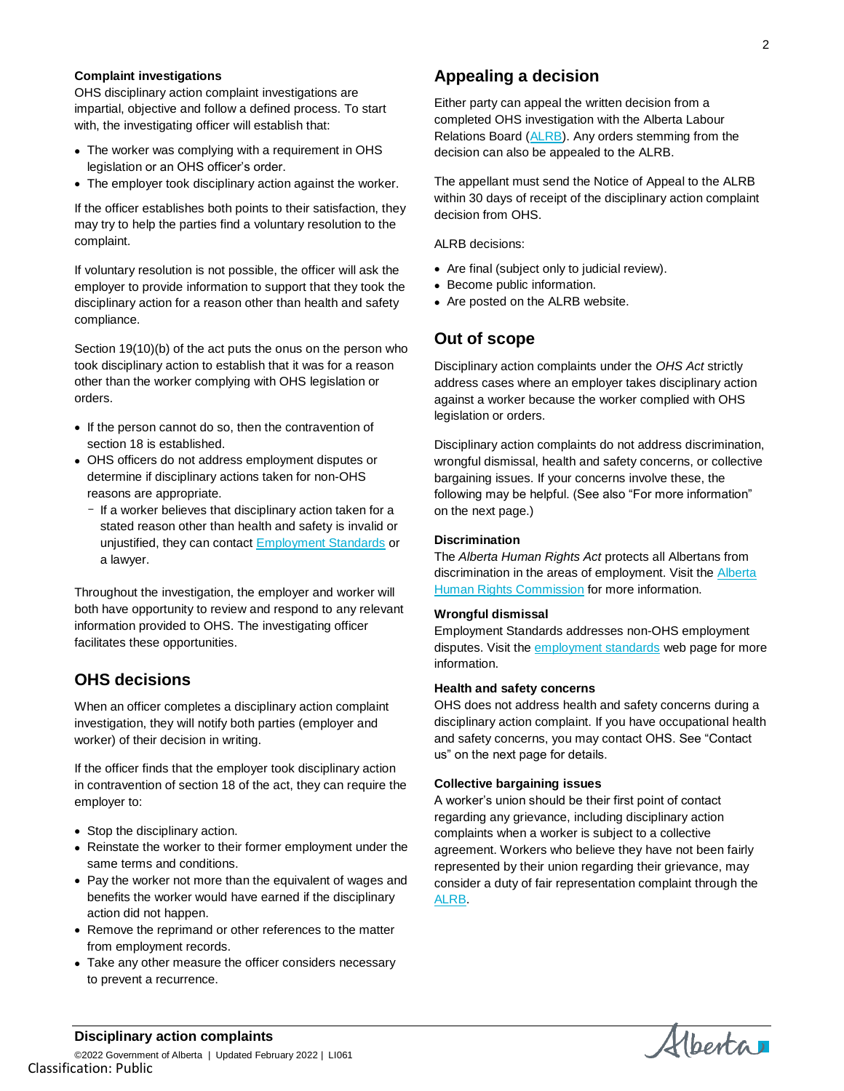#### **Complaint investigations**

OHS disciplinary action complaint investigations are impartial, objective and follow a defined process. To start with, the investigating officer will establish that:

- The worker was complying with a requirement in OHS legislation or an OHS officer's order.
- The employer took disciplinary action against the worker.

If the officer establishes both points to their satisfaction, they may try to help the parties find a voluntary resolution to the complaint.

If voluntary resolution is not possible, the officer will ask the employer to provide information to support that they took the disciplinary action for a reason other than health and safety compliance.

Section 19(10)(b) of the act puts the onus on the person who took disciplinary action to establish that it was for a reason other than the worker complying with OHS legislation or orders.

- If the person cannot do so, then the contravention of section 18 is established.
- OHS officers do not address employment disputes or determine if disciplinary actions taken for non-OHS reasons are appropriate.
	- If a worker believes that disciplinary action taken for a stated reason other than health and safety is invalid or unjustified, they can contact **Employment Standards** or a lawyer.

Throughout the investigation, the employer and worker will both have opportunity to review and respond to any relevant information provided to OHS. The investigating officer facilitates these opportunities.

# **OHS decisions**

When an officer completes a disciplinary action complaint investigation, they will notify both parties (employer and worker) of their decision in writing.

If the officer finds that the employer took disciplinary action in contravention of section 18 of the act, they can require the employer to:

- Stop the disciplinary action.
- Reinstate the worker to their former employment under the same terms and conditions.
- Pay the worker not more than the equivalent of wages and benefits the worker would have earned if the disciplinary action did not happen.
- Remove the reprimand or other references to the matter from employment records.
- Take any other measure the officer considers necessary to prevent a recurrence.

# **Appealing a decision**

Either party can appeal the written decision from a completed OHS investigation with the Alberta Labour Relations Board [\(ALRB\)](http://www.alrb.gov.ab.ca/ohs_appeals.html). Any orders stemming from the decision can also be appealed to the ALRB.

The appellant must send the Notice of Appeal to the ALRB within 30 days of receipt of the disciplinary action complaint decision from OHS.

ALRB decisions:

- Are final (subject only to judicial review).
- Become public information.
- Are posted on the ALRB website.

### **Out of scope**

Disciplinary action complaints under the *OHS Act* strictly address cases where an employer takes disciplinary action against a worker because the worker complied with OHS legislation or orders.

Disciplinary action complaints do not address discrimination, wrongful dismissal, health and safety concerns, or collective bargaining issues. If your concerns involve these, the following may be helpful. (See also "For more information" on the next page.)

#### **Discrimination**

The *Alberta Human Rights Act* protects all Albertans from discrimination in the areas of employment. Visit the [Alberta](http://albertahumanrights.ab.ca/)  **[Human Rights Commission](http://albertahumanrights.ab.ca/) for more information.** 

#### **Wrongful dismissal**

Employment Standards addresses non-OHS employment disputes. Visit the **employment** standards web page for more information.

### **Health and safety concerns**

OHS does not address health and safety concerns during a disciplinary action complaint. If you have occupational health and safety concerns, you may contact OHS. See "Contact us" on the next page for details.

#### **Collective bargaining issues**

A worker's union should be their first point of contact regarding any grievance, including disciplinary action complaints when a worker is subject to a collective agreement. Workers who believe they have not been fairly represented by their union regarding their grievance, may consider a duty of fair representation complaint through the [ALRB.](http://www.alrb.gov.ab.ca/)